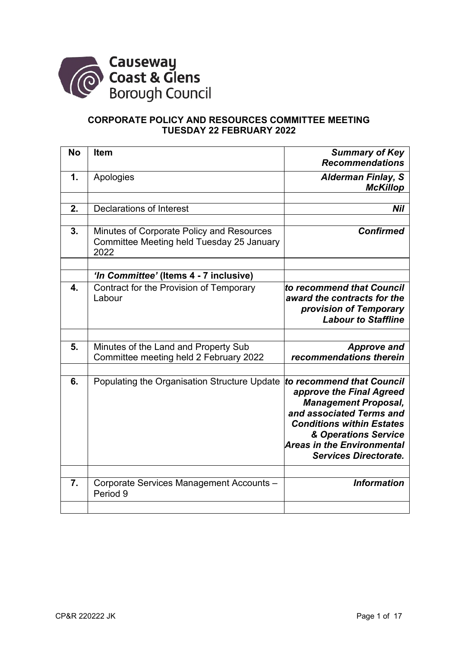

# **CORPORATE POLICY AND RESOURCES COMMITTEE MEETING TUESDAY 22 FEBRUARY 2022**

| 1.<br>Apologies<br><b>Alderman Finlay, S</b><br><b>McKillop</b><br><b>Declarations of Interest</b><br>2.<br>Nil<br>3.<br><b>Confirmed</b><br>Minutes of Corporate Policy and Resources<br>Committee Meeting held Tuesday 25 January<br>2022                                                      |
|--------------------------------------------------------------------------------------------------------------------------------------------------------------------------------------------------------------------------------------------------------------------------------------------------|
|                                                                                                                                                                                                                                                                                                  |
|                                                                                                                                                                                                                                                                                                  |
|                                                                                                                                                                                                                                                                                                  |
|                                                                                                                                                                                                                                                                                                  |
|                                                                                                                                                                                                                                                                                                  |
| 'In Committee' (Items 4 - 7 inclusive)                                                                                                                                                                                                                                                           |
| $\overline{\mathbf{4}}$ .<br>Contract for the Provision of Temporary<br>to recommend that Council<br>Labour<br>award the contracts for the<br>provision of Temporary<br><b>Labour to Staffline</b>                                                                                               |
|                                                                                                                                                                                                                                                                                                  |
| 5.<br>Minutes of the Land and Property Sub<br><b>Approve and</b><br>recommendations therein<br>Committee meeting held 2 February 2022                                                                                                                                                            |
| 6.<br>Populating the Organisation Structure Update<br>to recommend that Council<br>approve the Final Agreed<br><b>Management Proposal,</b><br>and associated Terms and<br><b>Conditions within Estates</b><br>& Operations Service<br>Areas in the Environmental<br><b>Services Directorate.</b> |
| 7.<br><b>Information</b><br>Corporate Services Management Accounts -<br>Period 9                                                                                                                                                                                                                 |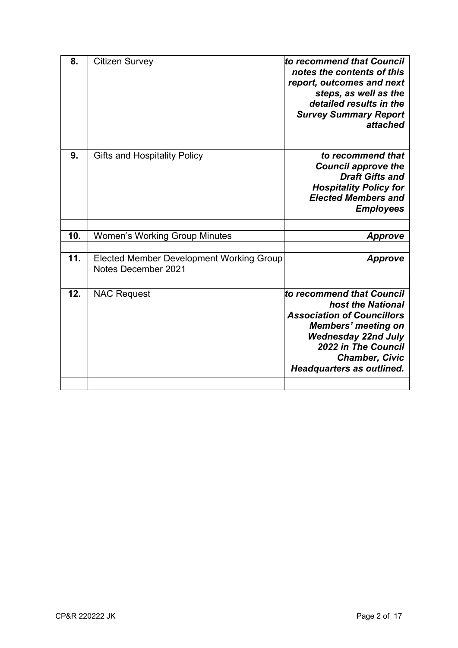| 8.  | <b>Citizen Survey</b>                                                  | to recommend that Council<br>notes the contents of this<br>report, outcomes and next<br>steps, as well as the<br>detailed results in the<br><b>Survey Summary Report</b><br>attached                                         |
|-----|------------------------------------------------------------------------|------------------------------------------------------------------------------------------------------------------------------------------------------------------------------------------------------------------------------|
| 9.  | <b>Gifts and Hospitality Policy</b>                                    | to recommend that<br><b>Council approve the</b><br><b>Draft Gifts and</b><br><b>Hospitality Policy for</b><br><b>Elected Members and</b><br><b>Employees</b>                                                                 |
| 10. | <b>Women's Working Group Minutes</b>                                   | <b>Approve</b>                                                                                                                                                                                                               |
| 11. | <b>Elected Member Development Working Group</b><br>Notes December 2021 | Approve                                                                                                                                                                                                                      |
| 12. | <b>NAC Request</b>                                                     | to recommend that Council<br>host the National<br><b>Association of Councillors</b><br><b>Members' meeting on</b><br><b>Wednesday 22nd July</b><br>2022 in The Council<br><b>Chamber, Civic</b><br>Headquarters as outlined. |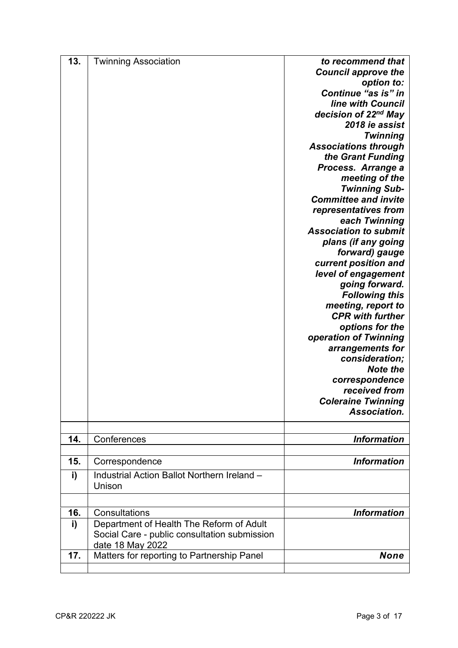| 13. | <b>Twinning Association</b>                           | to recommend that                |
|-----|-------------------------------------------------------|----------------------------------|
|     |                                                       | <b>Council approve the</b>       |
|     |                                                       | option to:                       |
|     |                                                       | Continue "as is" in              |
|     |                                                       | <b>line with Council</b>         |
|     |                                                       | decision of 22 <sup>nd</sup> May |
|     |                                                       | 2018 ie assist                   |
|     |                                                       | <b>Twinning</b>                  |
|     |                                                       | <b>Associations through</b>      |
|     |                                                       | the Grant Funding                |
|     |                                                       | Process. Arrange a               |
|     |                                                       | meeting of the                   |
|     |                                                       | <b>Twinning Sub-</b>             |
|     |                                                       | <b>Committee and invite</b>      |
|     |                                                       | representatives from             |
|     |                                                       | each Twinning                    |
|     |                                                       | <b>Association to submit</b>     |
|     |                                                       | plans (if any going              |
|     |                                                       | forward) gauge                   |
|     |                                                       | current position and             |
|     |                                                       |                                  |
|     |                                                       | level of engagement              |
|     |                                                       | going forward.                   |
|     |                                                       | <b>Following this</b>            |
|     |                                                       | meeting, report to               |
|     |                                                       | <b>CPR with further</b>          |
|     |                                                       | options for the                  |
|     |                                                       | operation of Twinning            |
|     |                                                       | arrangements for                 |
|     |                                                       | consideration;                   |
|     |                                                       | <b>Note the</b>                  |
|     |                                                       | correspondence                   |
|     |                                                       | received from                    |
|     |                                                       | <b>Coleraine Twinning</b>        |
|     |                                                       | Association.                     |
|     |                                                       |                                  |
| 14. | Conferences                                           | <b>Information</b>               |
|     |                                                       |                                  |
| 15. | Correspondence                                        | <b>Information</b>               |
| i)  | Industrial Action Ballot Northern Ireland -<br>Unison |                                  |
|     |                                                       |                                  |
| 16. | Consultations                                         | <b>Information</b>               |
| i)  | Department of Health The Reform of Adult              |                                  |
|     | Social Care - public consultation submission          |                                  |
|     | date 18 May 2022                                      |                                  |
| 17. | Matters for reporting to Partnership Panel            | <b>None</b>                      |
|     |                                                       |                                  |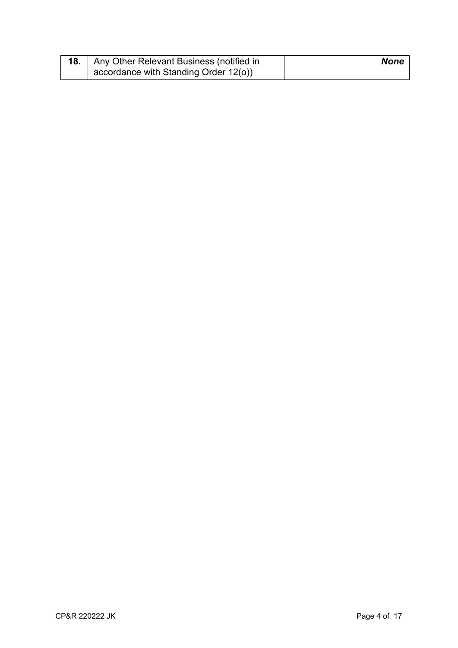| 18.   Any Other Relevant Business (notified in | <b>None</b> |
|------------------------------------------------|-------------|
| $\vert$ accordance with Standing Order 12(o))  |             |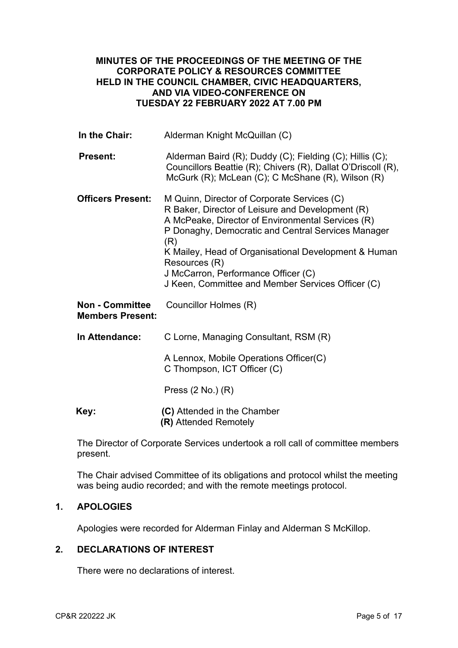## **MINUTES OF THE PROCEEDINGS OF THE MEETING OF THE CORPORATE POLICY & RESOURCES COMMITTEE HELD IN THE COUNCIL CHAMBER, CIVIC HEADQUARTERS, AND VIA VIDEO-CONFERENCE ON TUESDAY 22 FEBRUARY 2022 AT 7.00 PM**

| In the Chair:                                     | Alderman Knight McQuillan (C)                                                                                                                                                                                                                                                                                                                                                          |
|---------------------------------------------------|----------------------------------------------------------------------------------------------------------------------------------------------------------------------------------------------------------------------------------------------------------------------------------------------------------------------------------------------------------------------------------------|
| <b>Present:</b>                                   | Alderman Baird (R); Duddy (C); Fielding (C); Hillis (C);<br>Councillors Beattie (R); Chivers (R), Dallat O'Driscoll (R),<br>McGurk (R); McLean (C); C McShane (R), Wilson (R)                                                                                                                                                                                                          |
| <b>Officers Present:</b>                          | M Quinn, Director of Corporate Services (C)<br>R Baker, Director of Leisure and Development (R)<br>A McPeake, Director of Environmental Services (R)<br>P Donaghy, Democratic and Central Services Manager<br>(R)<br>K Mailey, Head of Organisational Development & Human<br>Resources (R)<br>J McCarron, Performance Officer (C)<br>J Keen, Committee and Member Services Officer (C) |
| <b>Non - Committee</b><br><b>Members Present:</b> | Councillor Holmes (R)                                                                                                                                                                                                                                                                                                                                                                  |
| In Attendance:                                    | C Lorne, Managing Consultant, RSM (R)                                                                                                                                                                                                                                                                                                                                                  |
|                                                   | A Lennox, Mobile Operations Officer(C)<br>C Thompson, ICT Officer (C)                                                                                                                                                                                                                                                                                                                  |
|                                                   | Press $(2 No.) (R)$                                                                                                                                                                                                                                                                                                                                                                    |
| Key:                                              | (C) Attended in the Chamber<br>(R) Attended Remotely                                                                                                                                                                                                                                                                                                                                   |

The Director of Corporate Services undertook a roll call of committee members present.

The Chair advised Committee of its obligations and protocol whilst the meeting was being audio recorded; and with the remote meetings protocol.

## **1. APOLOGIES**

Apologies were recorded for Alderman Finlay and Alderman S McKillop.

## **2. DECLARATIONS OF INTEREST**

There were no declarations of interest.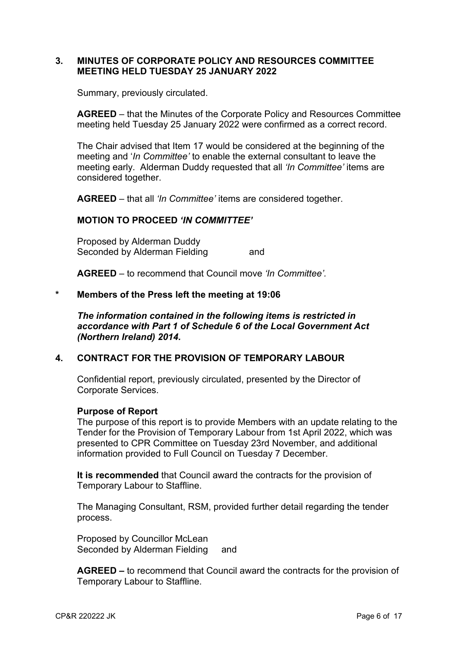### **3. MINUTES OF CORPORATE POLICY AND RESOURCES COMMITTEE MEETING HELD TUESDAY 25 JANUARY 2022**

Summary, previously circulated.

**AGREED** – that the Minutes of the Corporate Policy and Resources Committee meeting held Tuesday 25 January 2022 were confirmed as a correct record.

The Chair advised that Item 17 would be considered at the beginning of the meeting and '*In Committee'* to enable the external consultant to leave the meeting early. Alderman Duddy requested that all *'In Committee'* items are considered together.

**AGREED** – that all *'In Committee'* items are considered together.

## **MOTION TO PROCEED** *'IN COMMITTEE'*

Proposed by Alderman Duddy Seconded by Alderman Fielding and

**AGREED** – to recommend that Council move *'In Committee'.* 

### **\* Members of the Press left the meeting at 19:06**

*The information contained in the following items is restricted in accordance with Part 1 of Schedule 6 of the Local Government Act (Northern Ireland) 2014.* 

## **4. CONTRACT FOR THE PROVISION OF TEMPORARY LABOUR**

Confidential report, previously circulated, presented by the Director of Corporate Services.

#### **Purpose of Report**

The purpose of this report is to provide Members with an update relating to the Tender for the Provision of Temporary Labour from 1st April 2022, which was presented to CPR Committee on Tuesday 23rd November, and additional information provided to Full Council on Tuesday 7 December.

**It is recommended** that Council award the contracts for the provision of Temporary Labour to Staffline.

The Managing Consultant, RSM, provided further detail regarding the tender process.

Proposed by Councillor McLean Seconded by Alderman Fielding and

**AGREED –** to recommend that Council award the contracts for the provision of Temporary Labour to Staffline.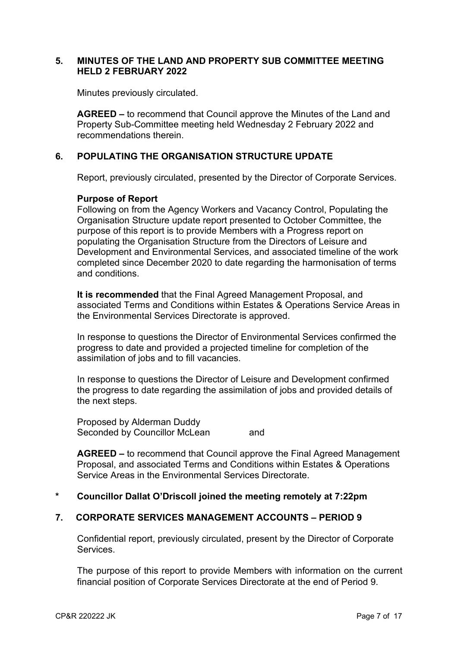### **5. MINUTES OF THE LAND AND PROPERTY SUB COMMITTEE MEETING HELD 2 FEBRUARY 2022**

Minutes previously circulated.

**AGREED –** to recommend that Council approve the Minutes of the Land and Property Sub-Committee meeting held Wednesday 2 February 2022 and recommendations therein.

# **6. POPULATING THE ORGANISATION STRUCTURE UPDATE**

Report, previously circulated, presented by the Director of Corporate Services.

## **Purpose of Report**

Following on from the Agency Workers and Vacancy Control, Populating the Organisation Structure update report presented to October Committee, the purpose of this report is to provide Members with a Progress report on populating the Organisation Structure from the Directors of Leisure and Development and Environmental Services, and associated timeline of the work completed since December 2020 to date regarding the harmonisation of terms and conditions.

**It is recommended** that the Final Agreed Management Proposal, and associated Terms and Conditions within Estates & Operations Service Areas in the Environmental Services Directorate is approved.

In response to questions the Director of Environmental Services confirmed the progress to date and provided a projected timeline for completion of the assimilation of jobs and to fill vacancies.

In response to questions the Director of Leisure and Development confirmed the progress to date regarding the assimilation of jobs and provided details of the next steps.

Proposed by Alderman Duddy Seconded by Councillor McLean and

**AGREED –** to recommend that Council approve the Final Agreed Management Proposal, and associated Terms and Conditions within Estates & Operations Service Areas in the Environmental Services Directorate.

## **\* Councillor Dallat O'Driscoll joined the meeting remotely at 7:22pm**

## **7. CORPORATE SERVICES MANAGEMENT ACCOUNTS – PERIOD 9**

Confidential report, previously circulated, present by the Director of Corporate Services.

The purpose of this report to provide Members with information on the current financial position of Corporate Services Directorate at the end of Period 9.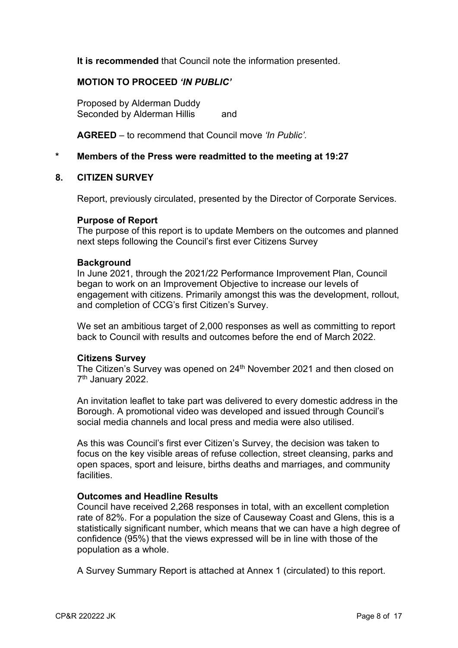**It is recommended** that Council note the information presented.

### **MOTION TO PROCEED** *'IN PUBLIC'*

Proposed by Alderman Duddy Seconded by Alderman Hillis and

**AGREED** – to recommend that Council move *'In Public'.* 

### **\* Members of the Press were readmitted to the meeting at 19:27**

#### **8. CITIZEN SURVEY**

Report, previously circulated, presented by the Director of Corporate Services.

#### **Purpose of Report**

The purpose of this report is to update Members on the outcomes and planned next steps following the Council's first ever Citizens Survey

#### **Background**

In June 2021, through the 2021/22 Performance Improvement Plan, Council began to work on an Improvement Objective to increase our levels of engagement with citizens. Primarily amongst this was the development, rollout, and completion of CCG's first Citizen's Survey.

We set an ambitious target of 2,000 responses as well as committing to report back to Council with results and outcomes before the end of March 2022.

#### **Citizens Survey**

The Citizen's Survey was opened on 24<sup>th</sup> November 2021 and then closed on 7<sup>th</sup> January 2022.

An invitation leaflet to take part was delivered to every domestic address in the Borough. A promotional video was developed and issued through Council's social media channels and local press and media were also utilised.

As this was Council's first ever Citizen's Survey, the decision was taken to focus on the key visible areas of refuse collection, street cleansing, parks and open spaces, sport and leisure, births deaths and marriages, and community **facilities** 

### **Outcomes and Headline Results**

Council have received 2,268 responses in total, with an excellent completion rate of 82%. For a population the size of Causeway Coast and Glens, this is a statistically significant number, which means that we can have a high degree of confidence (95%) that the views expressed will be in line with those of the population as a whole.

A Survey Summary Report is attached at Annex 1 (circulated) to this report.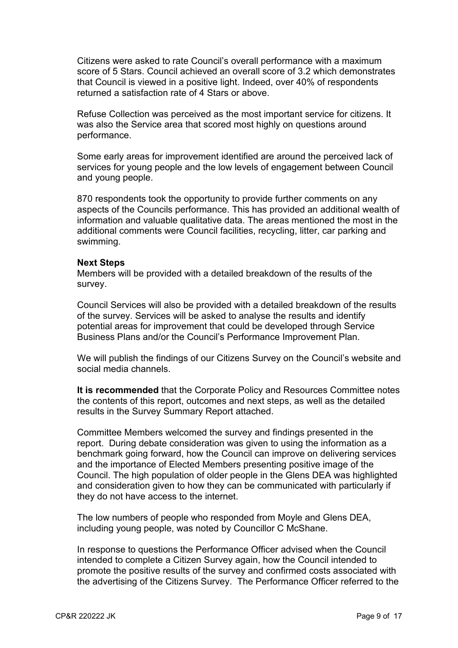Citizens were asked to rate Council's overall performance with a maximum score of 5 Stars. Council achieved an overall score of 3.2 which demonstrates that Council is viewed in a positive light. Indeed, over 40% of respondents returned a satisfaction rate of 4 Stars or above.

Refuse Collection was perceived as the most important service for citizens. It was also the Service area that scored most highly on questions around performance.

Some early areas for improvement identified are around the perceived lack of services for young people and the low levels of engagement between Council and young people.

870 respondents took the opportunity to provide further comments on any aspects of the Councils performance. This has provided an additional wealth of information and valuable qualitative data. The areas mentioned the most in the additional comments were Council facilities, recycling, litter, car parking and swimming.

#### **Next Steps**

Members will be provided with a detailed breakdown of the results of the survey.

Council Services will also be provided with a detailed breakdown of the results of the survey. Services will be asked to analyse the results and identify potential areas for improvement that could be developed through Service Business Plans and/or the Council's Performance Improvement Plan.

We will publish the findings of our Citizens Survey on the Council's website and social media channels.

**It is recommended** that the Corporate Policy and Resources Committee notes the contents of this report, outcomes and next steps, as well as the detailed results in the Survey Summary Report attached.

Committee Members welcomed the survey and findings presented in the report. During debate consideration was given to using the information as a benchmark going forward, how the Council can improve on delivering services and the importance of Elected Members presenting positive image of the Council. The high population of older people in the Glens DEA was highlighted and consideration given to how they can be communicated with particularly if they do not have access to the internet.

The low numbers of people who responded from Moyle and Glens DEA, including young people, was noted by Councillor C McShane.

In response to questions the Performance Officer advised when the Council intended to complete a Citizen Survey again, how the Council intended to promote the positive results of the survey and confirmed costs associated with the advertising of the Citizens Survey. The Performance Officer referred to the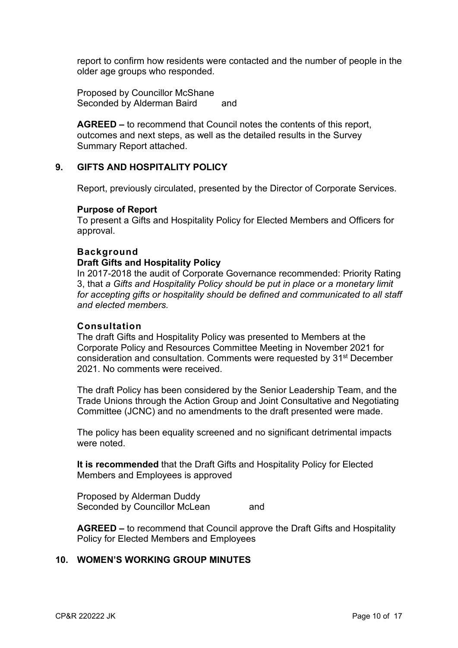report to confirm how residents were contacted and the number of people in the older age groups who responded.

Proposed by Councillor McShane Seconded by Alderman Baird and

**AGREED –** to recommend that Council notes the contents of this report, outcomes and next steps, as well as the detailed results in the Survey Summary Report attached.

## **9. GIFTS AND HOSPITALITY POLICY**

Report, previously circulated, presented by the Director of Corporate Services.

#### **Purpose of Report**

To present a Gifts and Hospitality Policy for Elected Members and Officers for approval.

#### **Background**

#### **Draft Gifts and Hospitality Policy**

In 2017-2018 the audit of Corporate Governance recommended: Priority Rating 3, that *a Gifts and Hospitality Policy should be put in place or a monetary limit for accepting gifts or hospitality should be defined and communicated to all staff and elected members.*

### **Consultation**

The draft Gifts and Hospitality Policy was presented to Members at the Corporate Policy and Resources Committee Meeting in November 2021 for consideration and consultation. Comments were requested by 31st December 2021. No comments were received.

The draft Policy has been considered by the Senior Leadership Team, and the Trade Unions through the Action Group and Joint Consultative and Negotiating Committee (JCNC) and no amendments to the draft presented were made.

The policy has been equality screened and no significant detrimental impacts were noted.

**It is recommended** that the Draft Gifts and Hospitality Policy for Elected Members and Employees is approved

Proposed by Alderman Duddy Seconded by Councillor McLean and

**AGREED –** to recommend that Council approve the Draft Gifts and Hospitality Policy for Elected Members and Employees

#### **10. WOMEN'S WORKING GROUP MINUTES**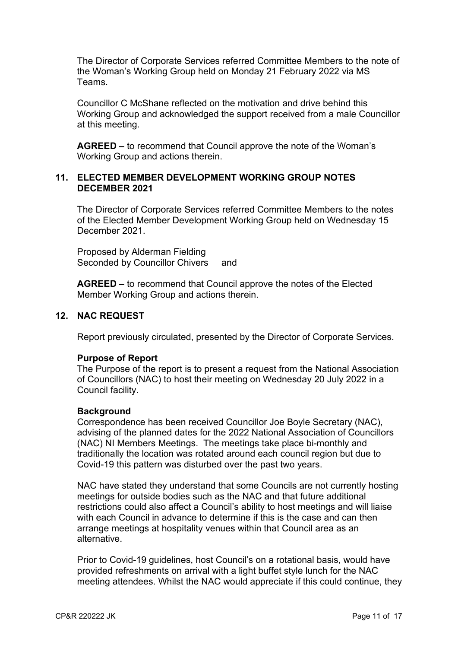The Director of Corporate Services referred Committee Members to the note of the Woman's Working Group held on Monday 21 February 2022 via MS Teams.

Councillor C McShane reflected on the motivation and drive behind this Working Group and acknowledged the support received from a male Councillor at this meeting.

**AGREED –** to recommend that Council approve the note of the Woman's Working Group and actions therein.

### **11. ELECTED MEMBER DEVELOPMENT WORKING GROUP NOTES DECEMBER 2021**

The Director of Corporate Services referred Committee Members to the notes of the Elected Member Development Working Group held on Wednesday 15 December 2021.

Proposed by Alderman Fielding Seconded by Councillor Chivers and

**AGREED –** to recommend that Council approve the notes of the Elected Member Working Group and actions therein.

## **12. NAC REQUEST**

Report previously circulated, presented by the Director of Corporate Services.

#### **Purpose of Report**

The Purpose of the report is to present a request from the National Association of Councillors (NAC) to host their meeting on Wednesday 20 July 2022 in a Council facility.

#### **Background**

Correspondence has been received Councillor Joe Boyle Secretary (NAC), advising of the planned dates for the 2022 National Association of Councillors (NAC) NI Members Meetings. The meetings take place bi-monthly and traditionally the location was rotated around each council region but due to Covid-19 this pattern was disturbed over the past two years.

NAC have stated they understand that some Councils are not currently hosting meetings for outside bodies such as the NAC and that future additional restrictions could also affect a Council's ability to host meetings and will liaise with each Council in advance to determine if this is the case and can then arrange meetings at hospitality venues within that Council area as an alternative.

Prior to Covid-19 guidelines, host Council's on a rotational basis, would have provided refreshments on arrival with a light buffet style lunch for the NAC meeting attendees. Whilst the NAC would appreciate if this could continue, they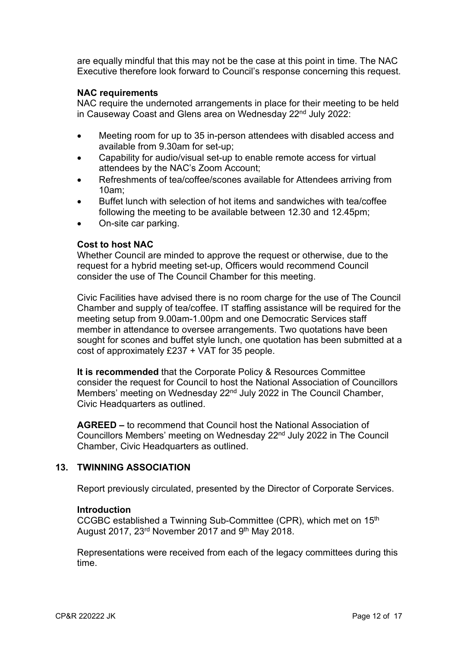are equally mindful that this may not be the case at this point in time. The NAC Executive therefore look forward to Council's response concerning this request.

### **NAC requirements**

NAC require the undernoted arrangements in place for their meeting to be held in Causeway Coast and Glens area on Wednesday 22<sup>nd</sup> July 2022:

- Meeting room for up to 35 in-person attendees with disabled access and available from 9.30am for set-up;
- Capability for audio/visual set-up to enable remote access for virtual attendees by the NAC's Zoom Account;
- Refreshments of tea/coffee/scones available for Attendees arriving from 10am;
- Buffet lunch with selection of hot items and sandwiches with tea/coffee following the meeting to be available between 12.30 and 12.45pm;
- On-site car parking.

#### **Cost to host NAC**

Whether Council are minded to approve the request or otherwise, due to the request for a hybrid meeting set-up, Officers would recommend Council consider the use of The Council Chamber for this meeting.

Civic Facilities have advised there is no room charge for the use of The Council Chamber and supply of tea/coffee. IT staffing assistance will be required for the meeting setup from 9.00am-1.00pm and one Democratic Services staff member in attendance to oversee arrangements. Two quotations have been sought for scones and buffet style lunch, one quotation has been submitted at a cost of approximately £237 + VAT for 35 people.

**It is recommended** that the Corporate Policy & Resources Committee consider the request for Council to host the National Association of Councillors Members' meeting on Wednesday 22<sup>nd</sup> July 2022 in The Council Chamber, Civic Headquarters as outlined.

**AGREED –** to recommend that Council host the National Association of Councillors Members' meeting on Wednesday 22nd July 2022 in The Council Chamber, Civic Headquarters as outlined.

### **13. TWINNING ASSOCIATION**

Report previously circulated, presented by the Director of Corporate Services.

#### **Introduction**

CCGBC established a Twinning Sub-Committee (CPR), which met on 15th August 2017, 23<sup>rd</sup> November 2017 and 9<sup>th</sup> May 2018.

Representations were received from each of the legacy committees during this time.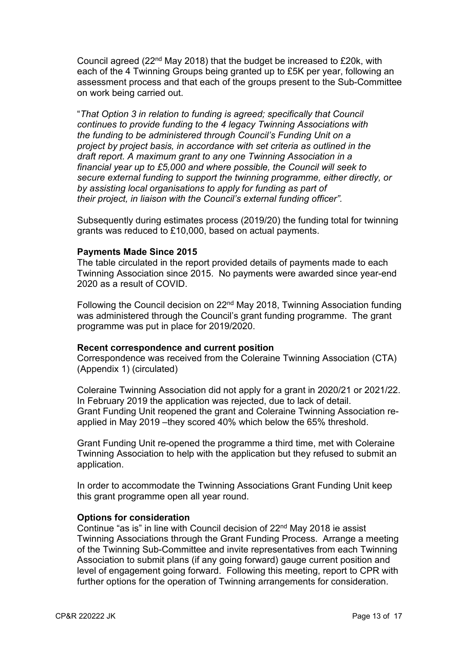Council agreed (22nd May 2018) that the budget be increased to £20k, with each of the 4 Twinning Groups being granted up to £5K per year, following an assessment process and that each of the groups present to the Sub-Committee on work being carried out.

"*That Option 3 in relation to funding is agreed; specifically that Council continues to provide funding to the 4 legacy Twinning Associations with the funding to be administered through Council's Funding Unit on a project by project basis, in accordance with set criteria as outlined in the draft report. A maximum grant to any one Twinning Association in a financial year up to £5,000 and where possible, the Council will seek to secure external funding to support the twinning programme, either directly, or by assisting local organisations to apply for funding as part of their project, in liaison with the Council's external funding officer".* 

Subsequently during estimates process (2019/20) the funding total for twinning grants was reduced to £10,000, based on actual payments.

### **Payments Made Since 2015**

The table circulated in the report provided details of payments made to each Twinning Association since 2015. No payments were awarded since year-end 2020 as a result of COVID.

Following the Council decision on 22nd May 2018, Twinning Association funding was administered through the Council's grant funding programme. The grant programme was put in place for 2019/2020.

#### **Recent correspondence and current position**

Correspondence was received from the Coleraine Twinning Association (CTA) (Appendix 1) (circulated)

Coleraine Twinning Association did not apply for a grant in 2020/21 or 2021/22. In February 2019 the application was rejected, due to lack of detail. Grant Funding Unit reopened the grant and Coleraine Twinning Association reapplied in May 2019 –they scored 40% which below the 65% threshold.

Grant Funding Unit re-opened the programme a third time, met with Coleraine Twinning Association to help with the application but they refused to submit an application.

In order to accommodate the Twinning Associations Grant Funding Unit keep this grant programme open all year round.

#### **Options for consideration**

Continue "as is" in line with Council decision of 22nd May 2018 ie assist Twinning Associations through the Grant Funding Process. Arrange a meeting of the Twinning Sub-Committee and invite representatives from each Twinning Association to submit plans (if any going forward) gauge current position and level of engagement going forward. Following this meeting, report to CPR with further options for the operation of Twinning arrangements for consideration.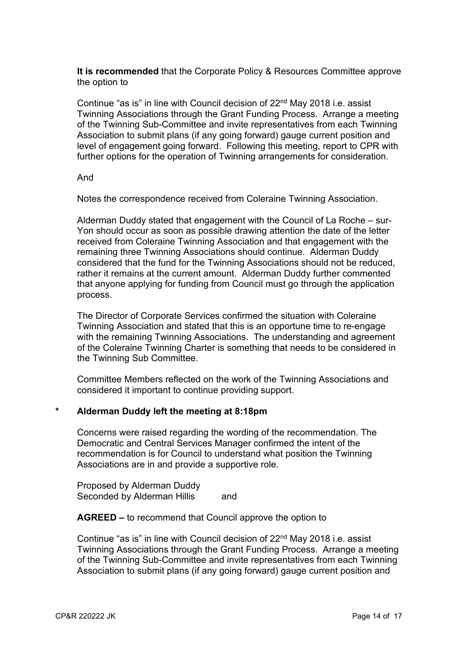**It is recommended** that the Corporate Policy & Resources Committee approve the option to

Continue "as is" in line with Council decision of 22nd May 2018 i.e. assist Twinning Associations through the Grant Funding Process. Arrange a meeting of the Twinning Sub-Committee and invite representatives from each Twinning Association to submit plans (if any going forward) gauge current position and level of engagement going forward. Following this meeting, report to CPR with further options for the operation of Twinning arrangements for consideration.

#### And

Notes the correspondence received from Coleraine Twinning Association.

Alderman Duddy stated that engagement with the Council of La Roche – sur-Yon should occur as soon as possible drawing attention the date of the letter received from Coleraine Twinning Association and that engagement with the remaining three Twinning Associations should continue. Alderman Duddy considered that the fund for the Twinning Associations should not be reduced, rather it remains at the current amount. Alderman Duddy further commented that anyone applying for funding from Council must go through the application process.

The Director of Corporate Services confirmed the situation with Coleraine Twinning Association and stated that this is an opportune time to re-engage with the remaining Twinning Associations. The understanding and agreement of the Coleraine Twinning Charter is something that needs to be considered in the Twinning Sub Committee.

Committee Members reflected on the work of the Twinning Associations and considered it important to continue providing support.

## **\* Alderman Duddy left the meeting at 8:18pm**

Concerns were raised regarding the wording of the recommendation. The Democratic and Central Services Manager confirmed the intent of the recommendation is for Council to understand what position the Twinning Associations are in and provide a supportive role.

Proposed by Alderman Duddy Seconded by Alderman Hillis and

**AGREED –** to recommend that Council approve the option to

Continue "as is" in line with Council decision of 22nd May 2018 i.e. assist Twinning Associations through the Grant Funding Process. Arrange a meeting of the Twinning Sub-Committee and invite representatives from each Twinning Association to submit plans (if any going forward) gauge current position and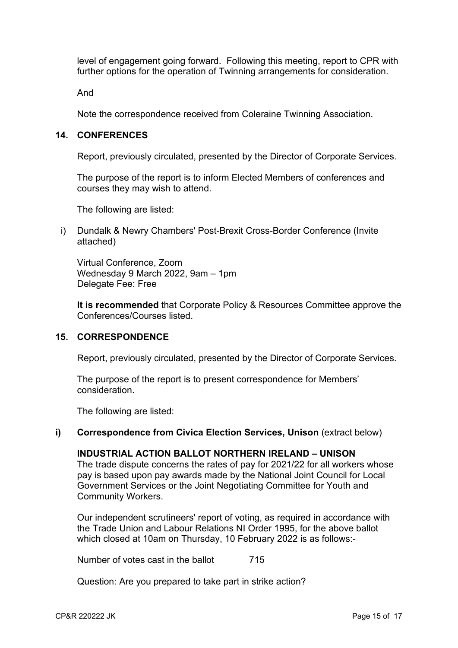level of engagement going forward. Following this meeting, report to CPR with further options for the operation of Twinning arrangements for consideration.

And

Note the correspondence received from Coleraine Twinning Association.

### **14. CONFERENCES**

Report, previously circulated, presented by the Director of Corporate Services.

The purpose of the report is to inform Elected Members of conferences and courses they may wish to attend.

The following are listed:

i) Dundalk & Newry Chambers' Post-Brexit Cross-Border Conference (Invite attached)

Virtual Conference, Zoom Wednesday 9 March 2022, 9am – 1pm Delegate Fee: Free

**It is recommended** that Corporate Policy & Resources Committee approve the Conferences/Courses listed.

#### **15. CORRESPONDENCE**

Report, previously circulated, presented by the Director of Corporate Services.

The purpose of the report is to present correspondence for Members' consideration.

The following are listed:

#### **i)** Correspondence from Civica Election Services, Unison (extract below)

#### **INDUSTRIAL ACTION BALLOT NORTHERN IRELAND – UNISON**

The trade dispute concerns the rates of pay for 2021/22 for all workers whose pay is based upon pay awards made by the National Joint Council for Local Government Services or the Joint Negotiating Committee for Youth and Community Workers.

Our independent scrutineers' report of voting, as required in accordance with the Trade Union and Labour Relations NI Order 1995, for the above ballot which closed at 10am on Thursday, 10 February 2022 is as follows:-

Number of votes cast in the ballot 715

Question: Are you prepared to take part in strike action?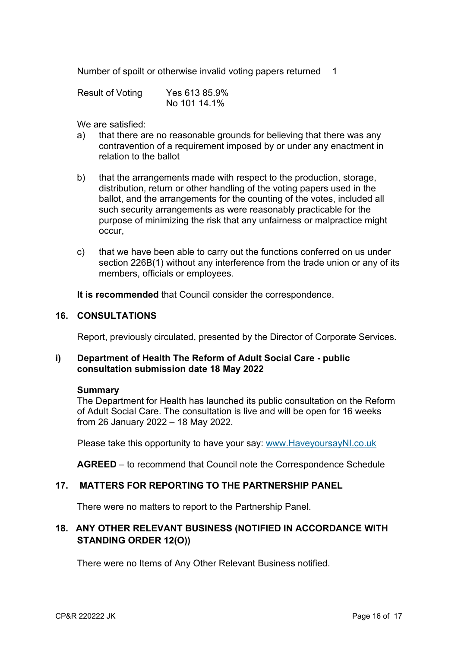Number of spoilt or otherwise invalid voting papers returned 1

| <b>Result of Voting</b> | Yes 613 85.9% |  |
|-------------------------|---------------|--|
|                         | No 101 14.1%  |  |

We are satisfied:

- a) that there are no reasonable grounds for believing that there was any contravention of a requirement imposed by or under any enactment in relation to the ballot
- b) that the arrangements made with respect to the production, storage, distribution, return or other handling of the voting papers used in the ballot, and the arrangements for the counting of the votes, included all such security arrangements as were reasonably practicable for the purpose of minimizing the risk that any unfairness or malpractice might occur,
- c) that we have been able to carry out the functions conferred on us under section 226B(1) without any interference from the trade union or any of its members, officials or employees.

**It is recommended** that Council consider the correspondence.

### **16. CONSULTATIONS**

Report, previously circulated, presented by the Director of Corporate Services.

# **i) Department of Health The Reform of Adult Social Care - public consultation submission date 18 May 2022**

#### **Summary**

The Department for Health has launched its public consultation on the Reform of Adult Social Care. The consultation is live and will be open for 16 weeks from 26 January 2022 – 18 May 2022.

Please take this opportunity to have your say: www.HaveyoursayNI.co.uk

**AGREED** – to recommend that Council note the Correspondence Schedule

## **17. MATTERS FOR REPORTING TO THE PARTNERSHIP PANEL**

There were no matters to report to the Partnership Panel.

# **18. ANY OTHER RELEVANT BUSINESS (NOTIFIED IN ACCORDANCE WITH STANDING ORDER 12(O))**

There were no Items of Any Other Relevant Business notified.